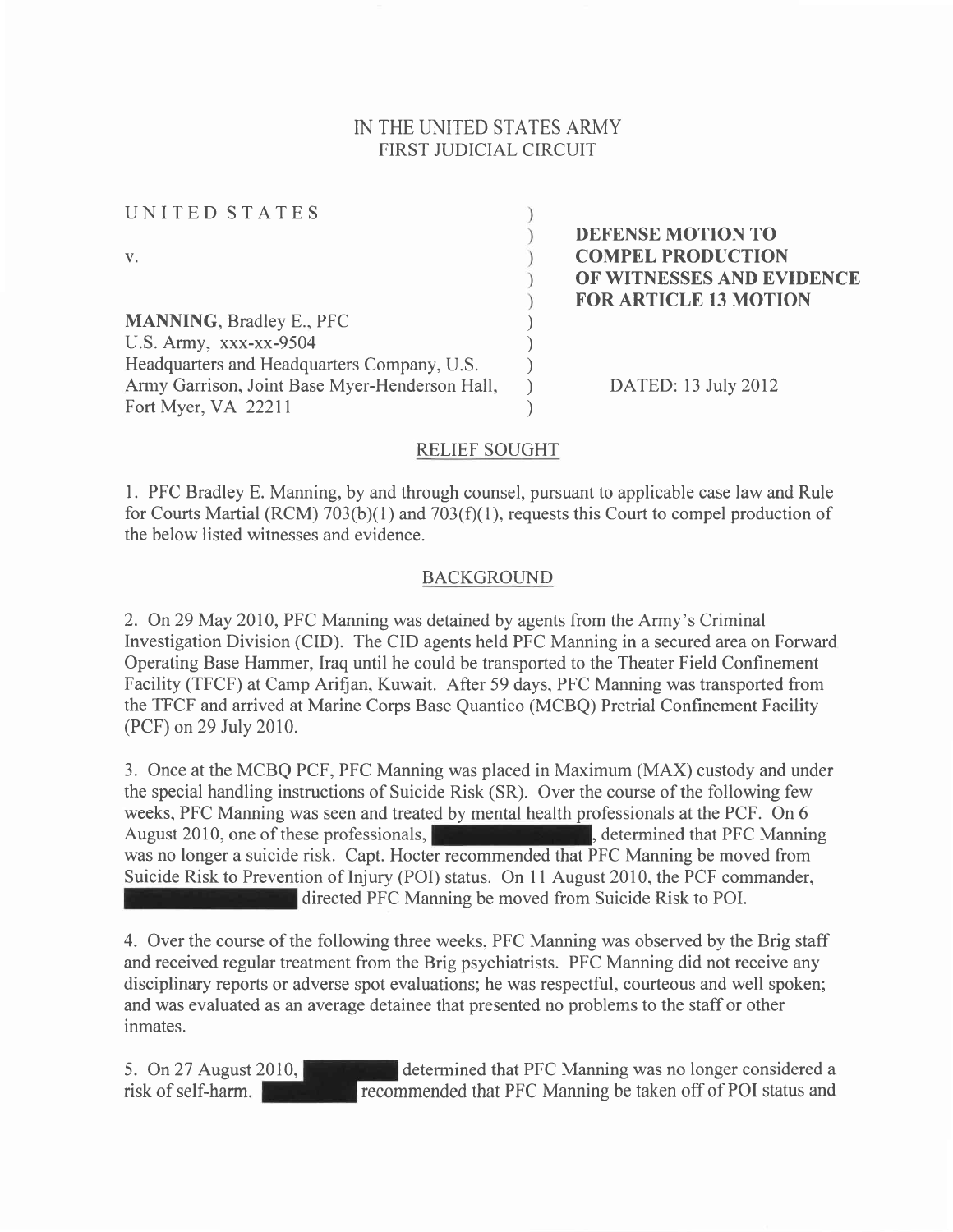## IN THE UNITED STATES ARMY FIRST JUDICIAL CIRCUIT

| UNITED STATES                                  |                              |
|------------------------------------------------|------------------------------|
|                                                | DEFENSE MOTION TO            |
| V.                                             | <b>COMPEL PRODUCTION</b>     |
|                                                | OF WITNESSES AND EVIDENCE    |
|                                                | <b>FOR ARTICLE 13 MOTION</b> |
| <b>MANNING, Bradley E., PFC</b>                |                              |
| U.S. Army, xxx-xx-9504                         |                              |
| Headquarters and Headquarters Company, U.S.    |                              |
| Army Garrison, Joint Base Myer-Henderson Hall, | DATED: 13 July 2012          |
| Fort Myer, VA 22211                            |                              |

#### RELIEF SOUGHT

l. PFC Bradley E. Manning, by and through counsel, pursuant to applicable case law and Rule for Courts Martial (RCM)  $703(b)(1)$  and  $703(f)(1)$ , requests this Court to compel production of the below listed witnesses and evidence.

#### BACKGROUND

2. On29 May 2010, PFC Manning was detained by agents from the Army's Criminal Investigation Division (CID). The CID agents held PFC Manning in a secured area on Forward Operating Base Hammer, Iraq until he could be transported to the Theater Field Confinement Facility (TFCF) at Camp Arifian, Kuwait. After 59 days, PFC Manning was transported from the TFCF and arrived at Marine Corps Base Quantico (MCBQ) Pretrial Confinement Facility (PCF) on29 July 2010.

3. Once at the MCBQ PCF, PFC Manning was placed in Maximum (MAX) custody and under the special handling instructions of Suicide Risk (SR). Over the course of the following few weeks, PFC Manning was seen and treated by mental health professionals at the PCF. On 6 August 2010, one of these professionals,  $\blacksquare$ , determined that PFC Manning was no longer a suicide risk. Capt. Hocter recommended that PFC Manning be moved from Suicide Risk to Prevention of Injury (POI) status. On 11 August 2010, the PCF commander, directed PFC Manning be moved from Suicide Risk to POI.

4. Over the course of the following three weeks, PFC Manning was observed by the Brig staff and received regular treatment from the Brig psychiatrists. PFC Manning did not receive any disciplinary reports or adverse spot evaluations; he was respectful, courteous and well spoken; and was evaluated as an average detainee that presented no problems to the staff or other inmates.

5. On27 August 2010, determined that PFC Manning was no longer considered <sup>a</sup> risk of self-harm. **Figure 2.1 Section** recommended that PFC Manning be taken off of POI status and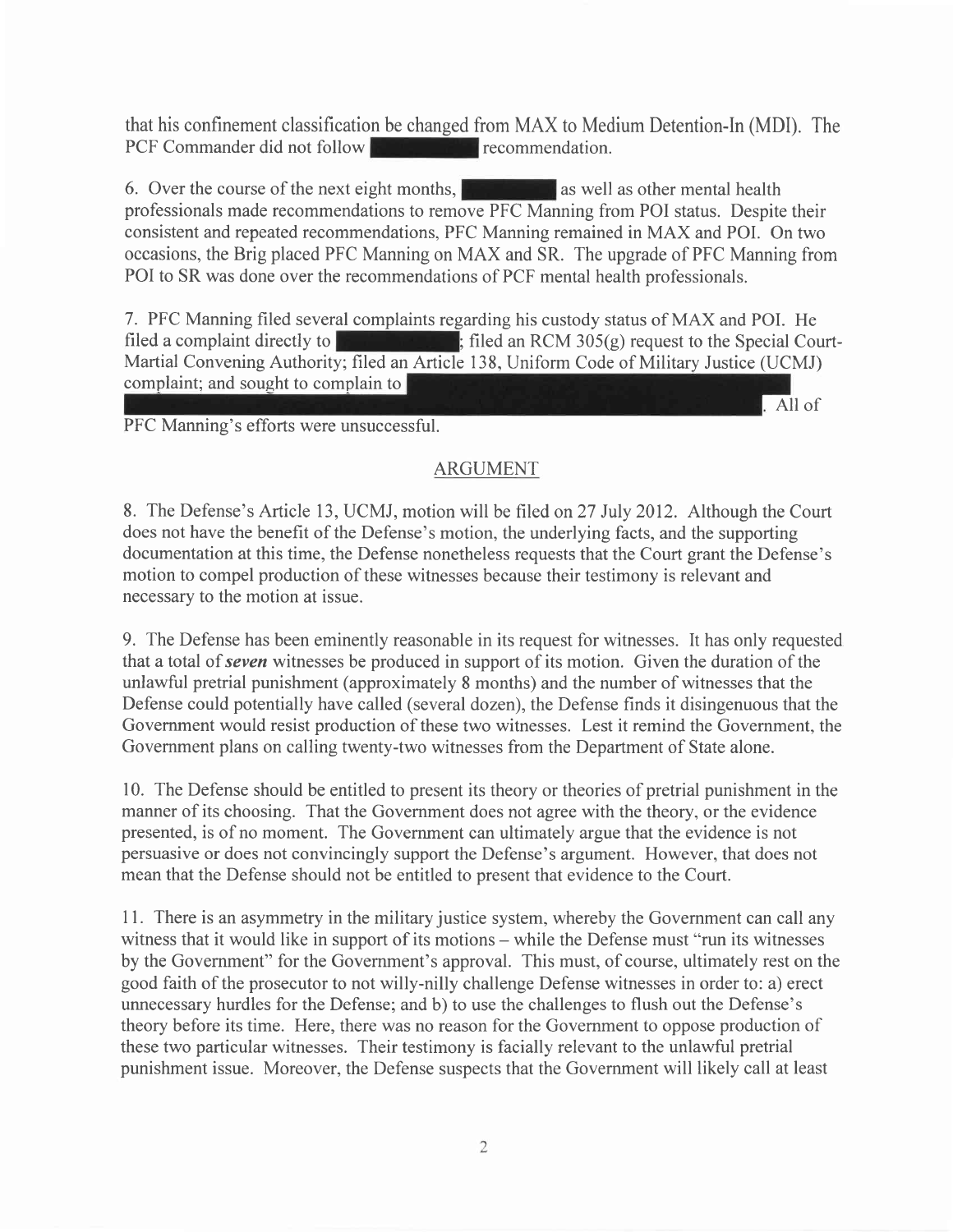that his confinement classification be changed from MAX to Medium Detention-In (MDI). The PCF Commander did not follow PCF Commander did not follow

6. Over the course of the next eight months,  $\mathbb{R}$  as well as other mental health professionals made recommendations to remove PFC Manning from POI status. Despite their consistent and repeated recommendations, PFC Manning remained in MAX and POI. On two occasions, the Brig placed PFC Manning on MAX and SR. The upgrade of PFC Manning from POI to SR was done over the recommendations of PCF mental health professionals.

<sup>7</sup>. PFC Manning filed several complaints regarding his custody status of MAX and POI. He filed a complaint directly to  $\mathbb{R}$  ; filed an RCM 305(g) request to the Special Court-Martial Convening Authority; filed an Article 138, Uniform Code of Military Justice (UCMJ) complaint; and sought to complain to All of

PFC Manning's efforts were unsuccessful.

# ARGUMENT

8. The Defense's Article 13, UCMJ, motion will be filed on27 July 2012. Although the Court does not have the benefit of the Defense's motion, the underlying facts, and the supporting documentation at this time, the Defense nonetheless requests that the Court grant the Defense's motion to compel production of these witnesses because their testimony is relevant and necessary to the motion at issue.

9. The Defense has been eminently reasonable in its request for witnesses. It has only requested that a total of seven witnesses be produced in support of its motion. Given the duration of the unlawful pretrial punishment (approximately 8 months) and the number of witnesses that the Defense could potentially have called (several dozen), the Defense finds it disingenuous that the Government would resist production of these two witnesses. Lest it remind the Government, the Government plans on calling twenty-two witnesses from the Department of State alone.

10. The Defense should be entitled to present its theory or theories of pretrial punishment in the manner of its choosing. That the Government does not agree with the theory, or the evidence presented, is of no moment. The Government can ultimately argue that the evidence is not persuasive or does not convincingly support the Defense's argument. However, that does not mean that the Defense should not be entitled to present that evidence to the Court.

<sup>1</sup><sup>I</sup>. There is an asymmetry in the military justice system, whereby the Government can call any witness that it would like in support of its motions – while the Defense must "run its witnesses" by the Government" for the Government's approval. This must, of course, ultimately rest on the good faith of the prosecutor to not willy-nilly challenge Defense witnesses in order to: a) erect unnecessary hurdles for the Defense; and b) to use the challenges to flush out the Defense's theory before its time. Here, there was no reason for the Government to oppose production of these two particular witnesses. Their testimony is facially relevant to the unlawful pretrial punishment issue. Moreover, the Defense suspects that the Government will likely call at least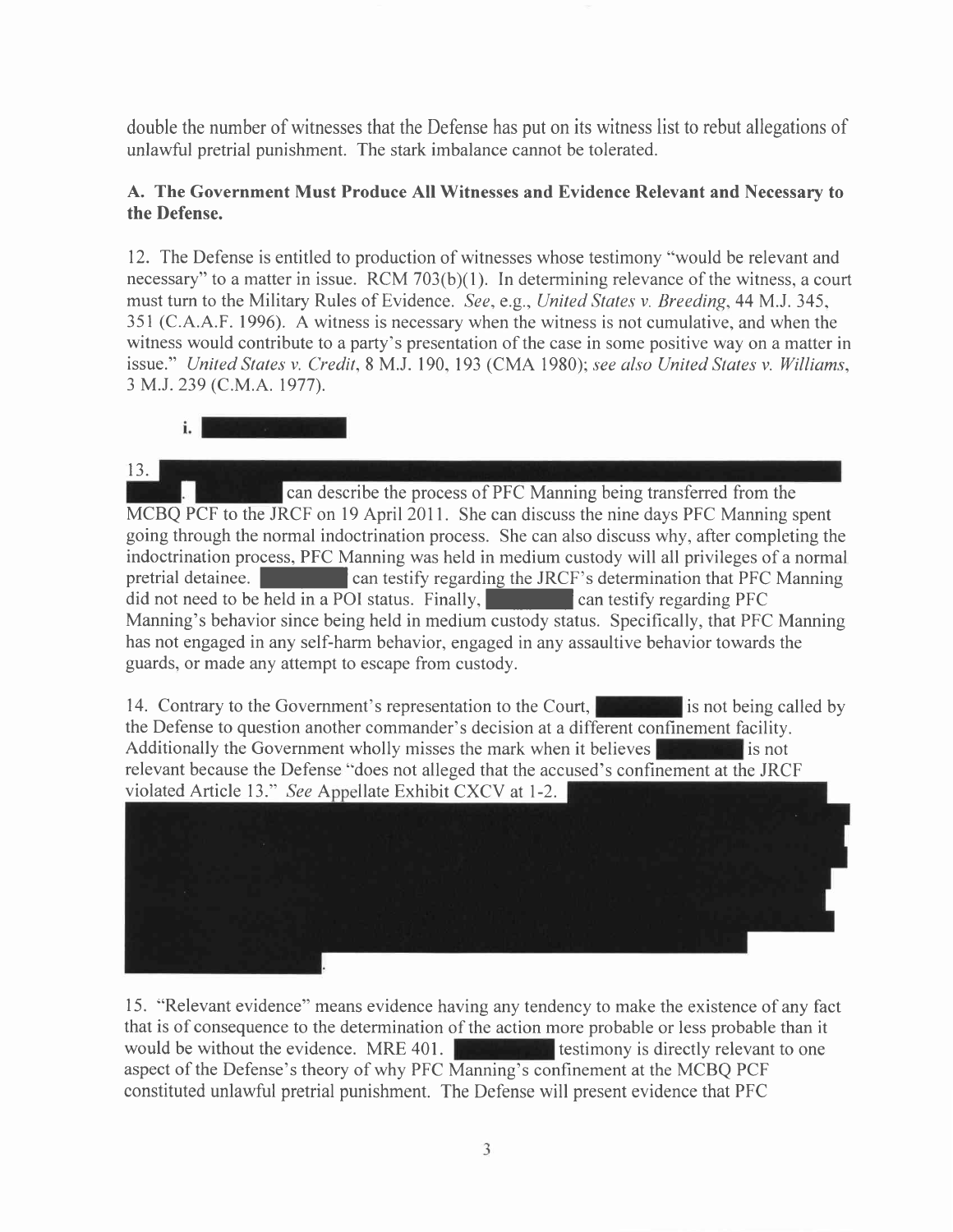double the number of witnesses that the Defense has put on its witness list to rebut allegations of unlawful pretrial punishment. The stark imbalance cannot be tolerated.

### A. The Government Must Produce All Witnesses and Evidence Relevant and Necessarv to the Defense.

12. The Defense is entitled to production of witnesses whose testimony "would be relevant and necessary" to a matter in issue. RCM  $703(b)(1)$ . In determining relevance of the witness, a court must turn to the Military Rules of Evidence. See, e.g., United States v. Breeding, 44 M.J. 345, 351 (C.A.A.F. 1996). A witness is necessary when the witness is not cumulative, and when the witness would contribute to a party's presentation of the case in some positive way on a matter in issue." United States v. Credit, 8 M.J. 190, 193 (CMA 1980); see also United States v. Williams, 3 M.J. 239 (C.M.A. 1977).



13.

**Can describe the process of PFC Manning being transferred from the** MCBQ PCF to the JRCF on 19 April 2011. She can discuss the nine days PFC Manning spent going through the normal indoctrination process. She can also discuss why, after completing the indoctrination process, PFC Manning was held in medium custody will all privileges of a normal pretrial detainee. **Figure 1.1 Conserverse f can testify regarding the JRCF's determination that PFC Manning** did not need to be held in a POI status. Finally,  $\Box$  can testify regarding PFC Manning's behavior since being held in medium custody status. Specifically, that PFC Manning has not engaged in any self-harm behavior, engaged in any assaultive behavior towards the guards, or made any attempt to escape from custody.

14. Contrary to the Government's representation to the Court, **is not being called by** the Defense to question another commander's decision at a different confinement facility. Additionally the Government wholly misses the mark when it believes  $\mathbf{I}$  is not relevant because the Defense "does not alleged that the accused's confinement at the JRCF violated Article 13." See Appellate Exhibit CXCV at 1-2.



15. "Relevant evidence" means evidence having any tendency to make the existence of any fact that is of consequence to the determination of the action more probable or less probable than it would be without the evidence. MRE 401. **The contract of the existence** is directly relevant to one aspect of the Defense's theory of why PFC Manning's confinement at the MCBQ PCF constituted unlawful pretrial punishment. The Defense will present evidence that PFC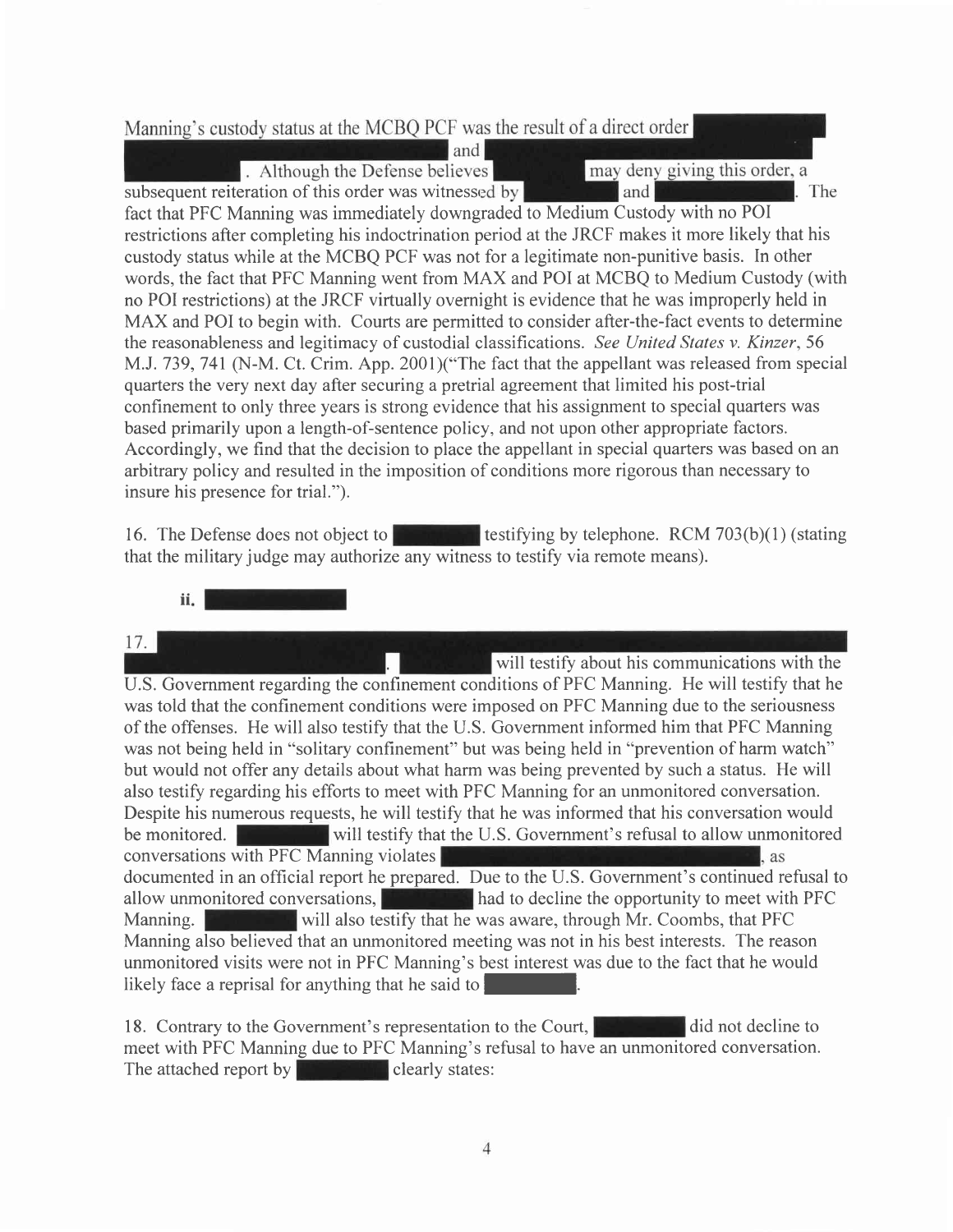### Manning's custody status at the MCBQ PCF was the result of a direct order

. Although the Defense believes subsequent reiteration of this order was witnessed by may deny giving this order, a land The

fact that PFC Manning was immediately downgraded to Medium Custody with no POI restrictions after completing his indoctrination period at the JRCF makes it more likely that his custody status while at the MCBQ PCF was not for a legitimate non-punitive basis. In other words, the fact that PFC Manning went from MAX and POI at MCBQ to Medium Custody (with no POI restrictions) at the JRCF virtually overnight is evidence that he was improperly held in MAX and POI to begin with. Courts are perrnitted to consider after-the-fact events to determine the reasonableness and legitimacy of custodial classifications. See United States v. Kinzer, 56 M.J. 739, 741 (N-M. Ct. Crim. App. 2001)("The fact that the appellant was released from special quarters the very next day after securing a pretrial agreement that limited his post-trial confinement to only three years is strong evidence that his assignment to special quarters was based primarily upon a length-of-sentence policy, and not upon other appropriate factors. Accordingly, we find that the decision to place the appellant in special quarters was based on an arbitrary policy and resulted in the imposition of conditions more rigorous than necessary to insure his presence for trial.").

and

16. The Defense does not object to the testifying by telephone. RCM 703(b)(1) (stating that the military judge may authorize any witness to testify via remote means).

ii. l

17. will testify about his communications with the U.S. Government regarding the confinement conditions of PFC Manning. He will testify that he was told that the confinement conditions were imposed on PFC Manning due to the seriousness of the offenses. He will also testify that the U.S. Government informed him that PFC Manning was not being held in "solitary confinement" but was being held in "prevention of harm watch" but would not offer any details about what harm was being prevented by such a status. He will also testify regarding his efforts to meet with PFC Manning for an unmonitored conversation. Despite his numerous requests, he will testify that he was informed that his conversation would be monitored. will testify that the U.S. Government's refusal to allow unmonitored conversations with PFC Manning violates l. as documented in an official report he prepared. Due to the U.S. Government's continued refusal to allow unmonitored conversations, **had to decline the opportunity to meet with PFC** Manning. While will also testify that he was aware, through Mr. Coombs, that PFC Manning also believed that an unmonitored meeting was not in his best interests. The reason unmonitored visits were not in PFC Manning's best interest was due to the fact that he would likely face a reprisal for anything that he said to

18. Contrary to the Government's representation to the Court, **Decline to** did not decline to meet with PFC Manning due to PFC Manning's refusal to have an unmonitored conversation. The attached report by  $\left\| \cdot \right\|$  clearly states: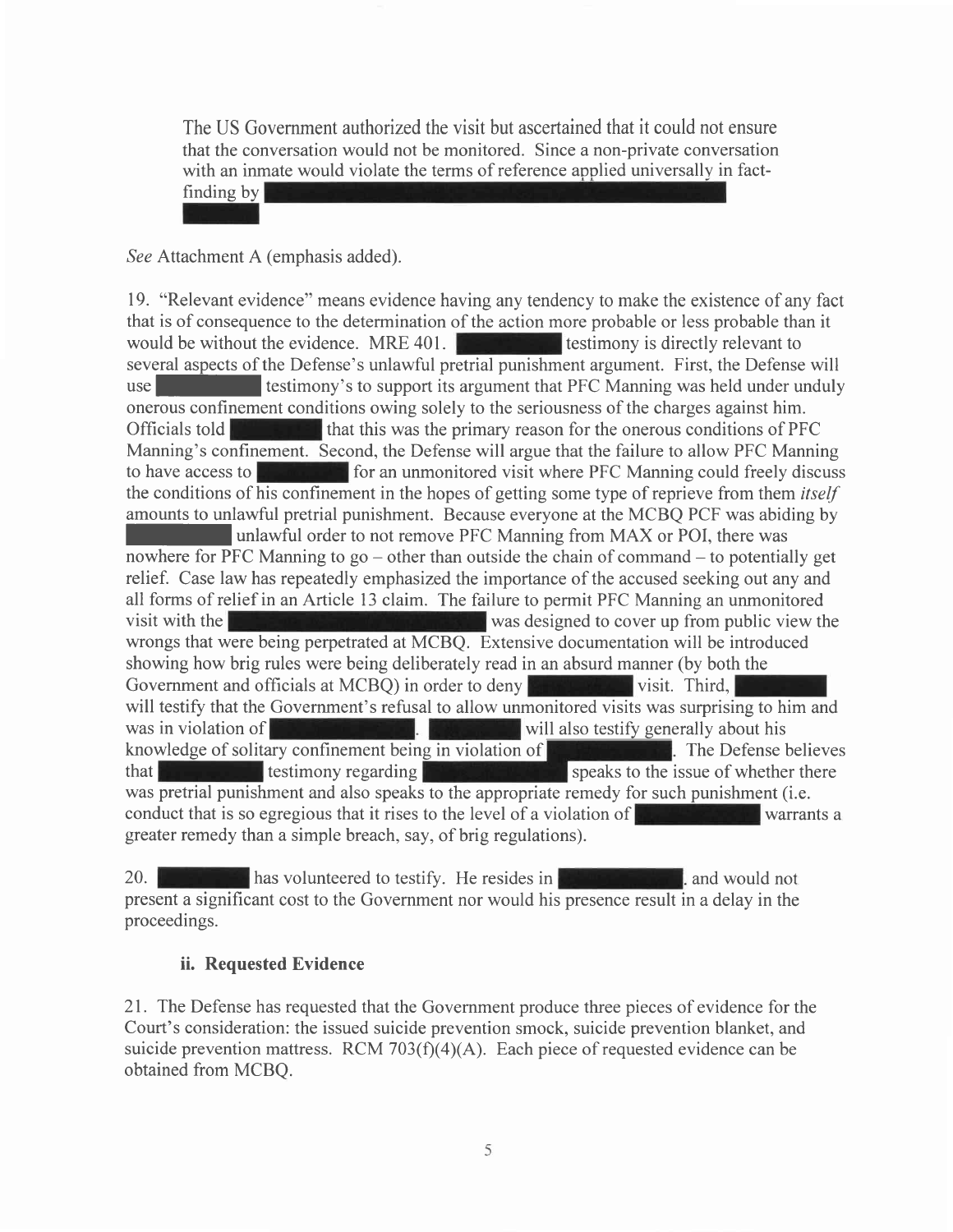The US Government authorized the visit but ascertained that it could not ensure that the conversation would not be monitored. Since a non-private conversation with an inmate would violate the terms of reference applied universally in fact-

finding by

See Attachment A (emphasis added).

19. "Relevant evidence" means evidence having any tendency to make the existence of any fact that is of consequence to the determination of the action more probable or less probable than it would be without the evidence. MRE 401. several aspects of the Defense's unlawful pretrial punishment argument. First, the Defense will use **I is a larger in testimony's to support its argument that PFC Manning was held under unduly** onerous confinement conditions owing solely to the seriousness of the charges against him. Officials told that this was the primary reason for the onerous conditions of PFC Manning's confinement. Second, the Defense will argue that the failure to allow PFC Manning to have access to **for an university of an unmonitored** visit where PFC Manning could freely discuss the conditions of his confinement in the hopes of getting some type of reprieve from them *itself* amounts to unlawful pretrial punishment. Because everyone at the MCBQ PCF was abiding by unlawful order to not remove PFC Manning from MAX or POI, there was nowhere for PFC Manning to  $\alpha$  – other than outside the chain of command – to potentially get relief. Case law has repeatedly emphasized the importance of the accused seeking out any and all forms of relief in an Article 13 claim. The failure to permit PFC Manning an unmonitored visit with the was designed to cover up from public view the wrongs that were being perpetrated at MCBQ. Extensive documentation will be introduced showing how brig rules were being deliberately read in an absurd manner (by both the Government and officials at MCBQ) in order to deny **visit.** Unit wisit. Third, will testify that the Government's refusal to allow unmonitored visits was surprising to him and was in violation of will also testify generally about his knowledge of solitary confinement being in violation of **The Languary of The Defense believes** that  $\frac{1}{\sqrt{2}}$  testimony regarding  $\frac{1}{\sqrt{2}}$  speaks to the issue of whether there was pretrial punishment and also speaks to the appropriate remedy for such punishment (i.e. conduct that is so egregious that it rises to the level of a violation of  $\mathbb{R}$ greater remedy than a simple breach, say, of brig regulations).

20. has volunteered to testify. He resides in **the contract of the state of the state of the state of the state of the state of the state of the state of the state of the state of the state of the state of the state of the** present a significant cost to the Government nor would his presence result in a delay in the proceedings.

#### ii. Requested Evidence

21. The Defense has requested that the Government produce three pieces of evidence for the Court's consideration: the issued suicide prevention smock, suicide prevention blanket, and suicide prevention mattress. RCM  $703(f)(4)(A)$ . Each piece of requested evidence can be obtained from MCBQ.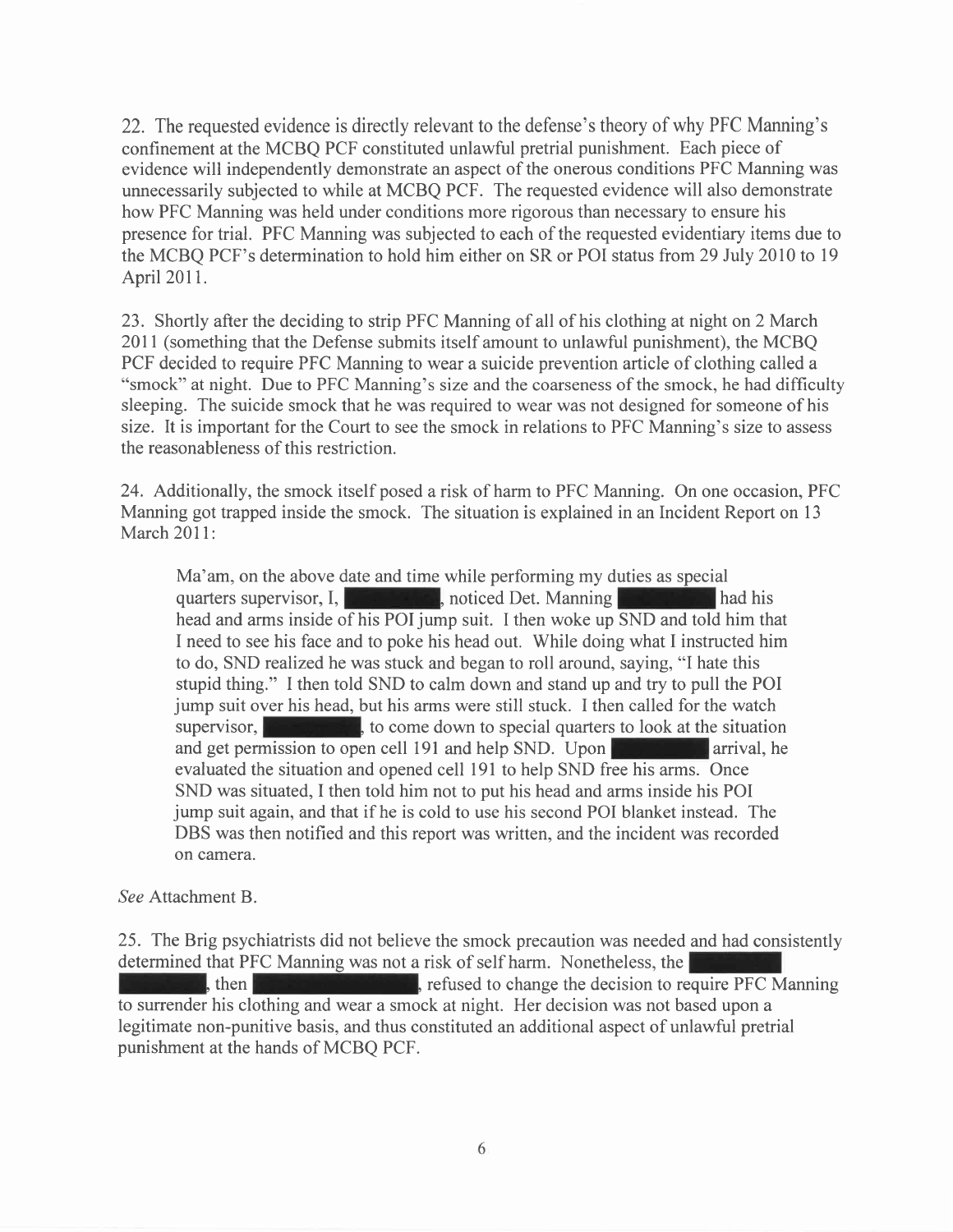22. The requested evidence is directly relevant to the defense's theory of why PFC Manning's confinement at the MCBQ PCF constituted unlawful pretrial punishment. Each piece of evidence will independently demonstrate an aspect of the onerous conditions PFC Manning was unnecessarily subjected to while at MCBQ PCF. The requested evidence will also demonstrate how PFC Manning was held under conditions more rigorous than necessary to ensure his presence for trial. PFC Manning was subjected to each of the requested evidentiary items due to the MCBQ PCF's determination to hold him either on SR or POI status from 29 July 2010 to 19 April 2011.

23. Shortly after the deciding to strip PFC Manning of all of his clothing at night on 2 March 20ll (something that the Defense submits itself amount to unlawful punishment), the MCBQ PCF decided to require PFC Manning to wear a suicide prevention article of clothing called a "smock" at night. Due to PFC Manning's size and the coarseness of the smock, he had difficulty sleeping. The suicide smock that he was required to wear was not designed for someone of his size. It is important for the Court to see the smock in relations to PFC Manning's size to assess the reasonableness of this restriction.

24. Additionally, the smock itself posed a risk of harm to PFC Manning. On one occasion, PFC Manning got trapped inside the smock. The situation is explained in an Incident Report on l3 March 2011:

Ma'am, on the above date and time while performing my duties as special quarters supervisor, I, **The contract of the state of the state of the state of the contract of the contract of the state of the contract of the contract of the contract of the contract of the contract of the contract of t** head and arms inside of his POI jump suit. I then woke up SND and told him that I need to see his face and to poke his head out. While doing what I instructed him to do, SND realized he was stuck and began to roll around, saying, "I hate this stupid thing." I then told SND to calm down and stand up and try to pull the POI jump suit over his head, but his arms were still stuck. I then called for the watch supervisor,  $\blacksquare$ , to come down to special quarters to look at the situation and get permission to open cell 191 and help SND. Upon evaluated the situation and opened cell l9l to help SND free his arrns. Once SND was situated, I then told him not to put his head and arms inside his POI jump suit again, and that if he is cold to use his second POI blanket instead. The DBS was then notified and this report was written, and the incident was recorded on camera.

See Attachment B.

25. The Brig psychiatrists did not believe the smock precaution was needed and had consistently determined that PFC Manning was not a risk of self harm. Nonetheless, the  $\mathbb{R}$ , then  $\mathbb{R}$  refused to change the decision to require PFC Manning to surrender his clothing and wear a smock at night. Her decision was not based upon a legitimate non-punitive basis, and thus constituted an additional aspect of unlawful pretrial punishment at the hands of MCBQ PCF.